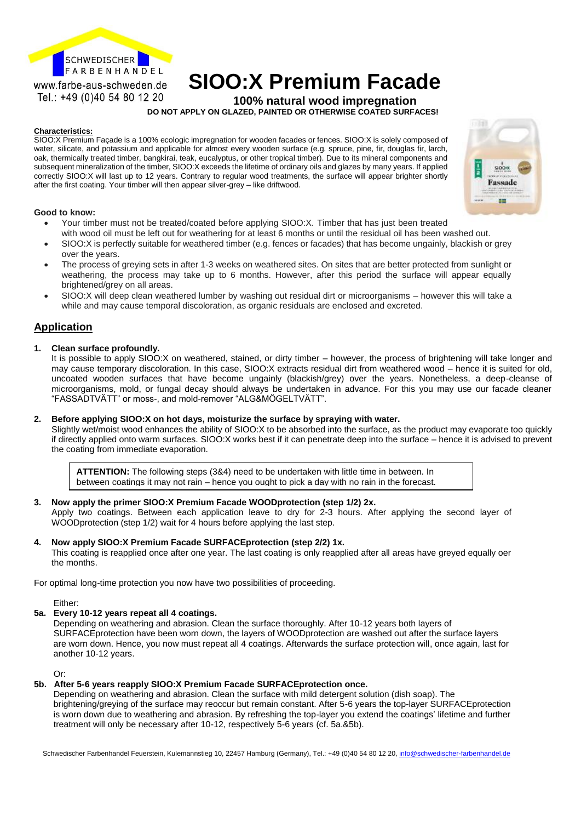

# **SIOO:X Premium Facade**<br>Tel.: +49 (0)40 54 80 12 20<br>Tel.: +49 (0)40 54 80 12 20

**100% natural wood impregnation DO NOT APPLY ON GLAZED, PAINTED OR OTHERWISE COATED SURFACES!**

#### **Characteristics:**

SIOO:X Premium Façade is a 100% ecologic impregnation for wooden facades or fences. SIOO:X is solely composed of water, silicate, and potassium and applicable for almost every wooden surface (e.g. spruce, pine, fir, douglas fir, larch, oak, thermically treated timber, bangkirai, teak, eucalyptus, or other tropical timber). Due to its mineral components and subsequent mineralization of the timber, SIOO:X exceeds the lifetime of ordinary oils and glazes by many years. If applied correctly SIOO:X will last up to 12 years. Contrary to regular wood treatments, the surface will appear brighter shortly after the first coating. Your timber will then appear silver-grey – like driftwood.

#### **Good to know:**

- Your timber must not be treated/coated before applying SIOO:X. Timber that has just been treated with wood oil must be left out for weathering for at least 6 months or until the residual oil has been washed out.
- SIOO:X is perfectly suitable for weathered timber (e.g. fences or facades) that has become ungainly, blackish or grey over the years.
- The process of greying sets in after 1-3 weeks on weathered sites. On sites that are better protected from sunlight or weathering, the process may take up to 6 months. However, after this period the surface will appear equally brightened/grey on all areas.
- SIOO:X will deep clean weathered lumber by washing out residual dirt or microorganisms however this will take a while and may cause temporal discoloration, as organic residuals are enclosed and excreted.

#### **Application**

#### **1. Clean surface profoundly.**

It is possible to apply SIOO:X on weathered, stained, or dirty timber – however, the process of brightening will take longer and may cause temporary discoloration. In this case, SIOO:X extracts residual dirt from weathered wood – hence it is suited for old, uncoated wooden surfaces that have become ungainly (blackish/grey) over the years. Nonetheless, a deep-cleanse of microorganisms, mold, or fungal decay should always be undertaken in advance. For this you may use our facade cleaner "FASSADTVÄTT" or moss-, and mold-remover "ALG&MÖGELTVÄTT".

#### **2. Before applying SIOO:X on hot days, moisturize the surface by spraying with water.**

Slightly wet/moist wood enhances the ability of SIOO:X to be absorbed into the surface, as the product may evaporate too quickly if directly applied onto warm surfaces. SIOO:X works best if it can penetrate deep into the surface – hence it is advised to prevent the coating from immediate evaporation.

**ATTENTION:** The following steps (3&4) need to be undertaken with little time in between. In between coatings it may not rain – hence you ought to pick a day with no rain in the forecast.

#### **3. Now apply the primer SIOO:X Premium Facade WOODprotection (step 1/2) 2x.**

Apply two coatings. Between each application leave to dry for 2-3 hours. After applying the second layer of WOODprotection (step 1/2) wait for 4 hours before applying the last step.

#### **4. Now apply SIOO:X Premium Facade SURFACEprotection (step 2/2) 1x.**

This coating is reapplied once after one year. The last coating is only reapplied after all areas have greyed equally oer the months.

For optimal long-time protection you now have two possibilities of proceeding.

Either:

#### **5a. Every 10-12 years repeat all 4 coatings.**

 Depending on weathering and abrasion. Clean the surface thoroughly. After 10-12 years both layers of SURFACEprotection have been worn down, the layers of WOODprotection are washed out after the surface layers are worn down. Hence, you now must repeat all 4 coatings. Afterwards the surface protection will, once again, last for another 10-12 years.

Or:

#### **5b. After 5-6 years reapply SIOO:X Premium Facade SURFACEprotection once.**

Depending on weathering and abrasion. Clean the surface with mild detergent solution (dish soap). The brightening/greying of the surface may reoccur but remain constant. After 5-6 years the top-layer SURFACEprotection is worn down due to weathering and abrasion. By refreshing the top-layer you extend the coatings' lifetime and further treatment will only be necessary after 10-12, respectively 5-6 years (cf. 5a.&5b).